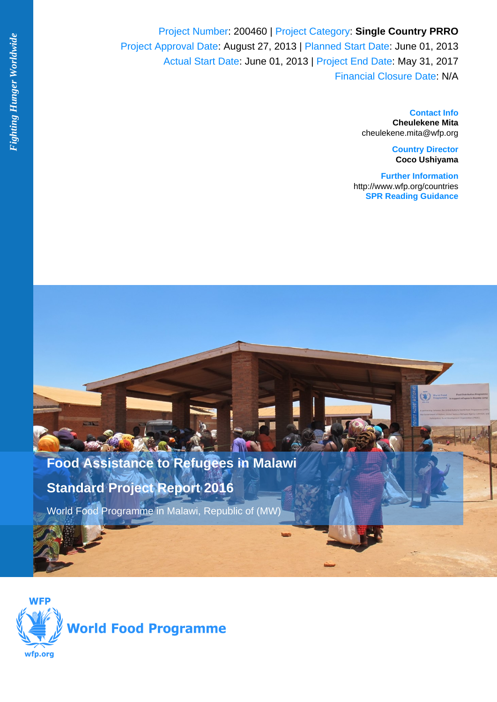Project Number: 200460 | Project Category: **Single Country PRRO** Project Approval Date: August 27, 2013 | Planned Start Date: June 01, 2013 Actual Start Date: June 01, 2013 | Project End Date: May 31, 2017 Financial Closure Date: N/A

> **Contact Info Cheulekene Mita** cheulekene.mita@wfp.org

> > **Country Director Coco Ushiyama**

**Further Information** <http://www.wfp.org/countries> **[SPR Reading Guidance](http://docustore.wfp.org/stellent/groups/public/documents/manual_guide_proced/wfp289507.pdf)**



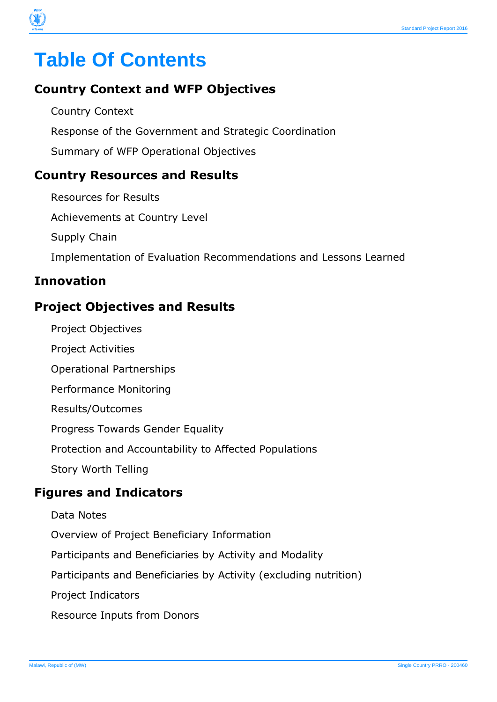# **Table Of Contents**

# **Country Context and WFP Objectives**

Country Context Response of the Government and Strategic Coordination Summary of WFP Operational Objectives

### **Country Resources and Results**

Resources for Results Achievements at Country Level Supply Chain Implementation of Evaluation Recommendations and Lessons Learned

### **Innovation**

# **Project Objectives and Results**

- Project Objectives
- Project Activities
- Operational Partnerships
- Performance Monitoring
- Results/Outcomes
- Progress Towards Gender Equality
- Protection and Accountability to Affected Populations
- Story Worth Telling

### **Figures and Indicators**

- Data Notes
- Overview of Project Beneficiary Information
- Participants and Beneficiaries by Activity and Modality
- Participants and Beneficiaries by Activity (excluding nutrition)
- Project Indicators
- Resource Inputs from Donors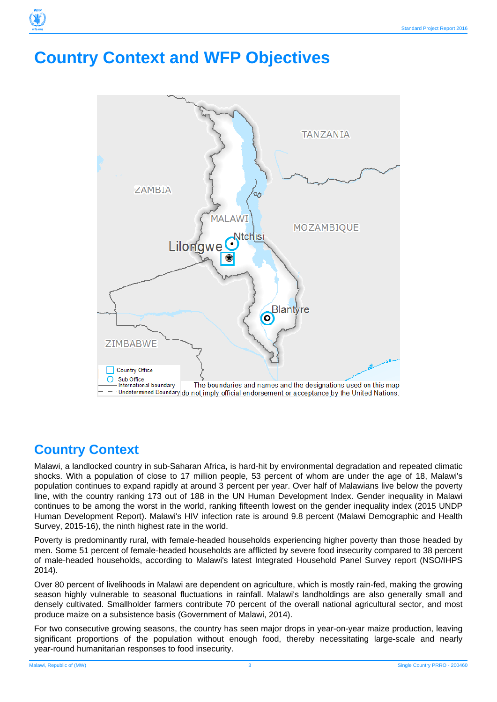# **Country Context and WFP Objectives**



# **Country Context**

Malawi, a landlocked country in sub-Saharan Africa, is hard-hit by environmental degradation and repeated climatic shocks. With a population of close to 17 million people, 53 percent of whom are under the age of 18, Malawi's population continues to expand rapidly at around 3 percent per year. Over half of Malawians live below the poverty line, with the country ranking 173 out of 188 in the UN Human Development Index. Gender inequality in Malawi continues to be among the worst in the world, ranking fifteenth lowest on the gender inequality index (2015 UNDP Human Development Report). Malawi's HIV infection rate is around 9.8 percent (Malawi Demographic and Health Survey, 2015-16), the ninth highest rate in the world.

Poverty is predominantly rural, with female-headed households experiencing higher poverty than those headed by men. Some 51 percent of female-headed households are afflicted by severe food insecurity compared to 38 percent of male-headed households, according to Malawi's latest Integrated Household Panel Survey report (NSO/IHPS 2014).

Over 80 percent of livelihoods in Malawi are dependent on agriculture, which is mostly rain-fed, making the growing season highly vulnerable to seasonal fluctuations in rainfall. Malawi's landholdings are also generally small and densely cultivated. Smallholder farmers contribute 70 percent of the overall national agricultural sector, and most produce maize on a subsistence basis (Government of Malawi, 2014).

For two consecutive growing seasons, the country has seen major drops in year-on-year maize production, leaving significant proportions of the population without enough food, thereby necessitating large-scale and nearly year-round humanitarian responses to food insecurity.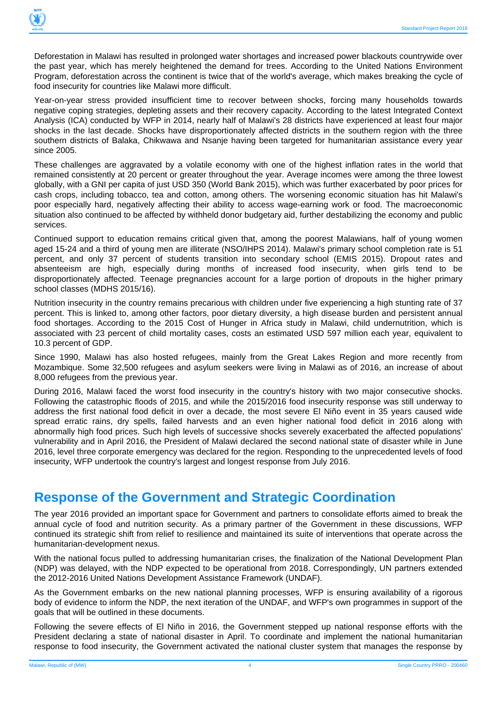

Deforestation in Malawi has resulted in prolonged water shortages and increased power blackouts countrywide over the past year, which has merely heightened the demand for trees. According to the United Nations Environment Program, deforestation across the continent is twice that of the world's average, which makes breaking the cycle of food insecurity for countries like Malawi more difficult.

Year-on-year stress provided insufficient time to recover between shocks, forcing many households towards negative coping strategies, depleting assets and their recovery capacity. According to the latest Integrated Context Analysis (ICA) conducted by WFP in 2014, nearly half of Malawi's 28 districts have experienced at least four major shocks in the last decade. Shocks have disproportionately affected districts in the southern region with the three southern districts of Balaka, Chikwawa and Nsanje having been targeted for humanitarian assistance every year since 2005.

These challenges are aggravated by a volatile economy with one of the highest inflation rates in the world that remained consistently at 20 percent or greater throughout the year. Average incomes were among the three lowest globally, with a GNI per capita of just USD 350 (World Bank 2015), which was further exacerbated by poor prices for cash crops, including tobacco, tea and cotton, among others. The worsening economic situation has hit Malawi's poor especially hard, negatively affecting their ability to access wage-earning work or food. The macroeconomic situation also continued to be affected by withheld donor budgetary aid, further destabilizing the economy and public services.

Continued support to education remains critical given that, among the poorest Malawians, half of young women aged 15-24 and a third of young men are illiterate (NSO/IHPS 2014). Malawi's primary school completion rate is 51 percent, and only 37 percent of students transition into secondary school (EMIS 2015). Dropout rates and absenteeism are high, especially during months of increased food insecurity, when girls tend to be disproportionately affected. Teenage pregnancies account for a large portion of dropouts in the higher primary school classes (MDHS 2015/16).

Nutrition insecurity in the country remains precarious with children under five experiencing a high stunting rate of 37 percent. This is linked to, among other factors, poor dietary diversity, a high disease burden and persistent annual food shortages. According to the 2015 Cost of Hunger in Africa study in Malawi, child undernutrition, which is associated with 23 percent of child mortality cases, costs an estimated USD 597 million each year, equivalent to 10.3 percent of GDP.

Since 1990, Malawi has also hosted refugees, mainly from the Great Lakes Region and more recently from Mozambique. Some 32,500 refugees and asylum seekers were living in Malawi as of 2016, an increase of about 8,000 refugees from the previous year.

During 2016, Malawi faced the worst food insecurity in the country's history with two major consecutive shocks. Following the catastrophic floods of 2015, and while the 2015/2016 food insecurity response was still underway to address the first national food deficit in over a decade, the most severe El Niño event in 35 years caused wide spread erratic rains, dry spells, failed harvests and an even higher national food deficit in 2016 along with abnormally high food prices. Such high levels of successive shocks severely exacerbated the affected populations' vulnerability and in April 2016, the President of Malawi declared the second national state of disaster while in June 2016, level three corporate emergency was declared for the region. Responding to the unprecedented levels of food insecurity, WFP undertook the country's largest and longest response from July 2016.

# **Response of the Government and Strategic Coordination**

The year 2016 provided an important space for Government and partners to consolidate efforts aimed to break the annual cycle of food and nutrition security. As a primary partner of the Government in these discussions, WFP continued its strategic shift from relief to resilience and maintained its suite of interventions that operate across the humanitarian-development nexus.

With the national focus pulled to addressing humanitarian crises, the finalization of the National Development Plan (NDP) was delayed, with the NDP expected to be operational from 2018. Correspondingly, UN partners extended the 2012-2016 United Nations Development Assistance Framework (UNDAF).

As the Government embarks on the new national planning processes, WFP is ensuring availability of a rigorous body of evidence to inform the NDP, the next iteration of the UNDAF, and WFP's own programmes in support of the goals that will be outlined in these documents.

Following the severe effects of El Niño in 2016, the Government stepped up national response efforts with the President declaring a state of national disaster in April. To coordinate and implement the national humanitarian response to food insecurity, the Government activated the national cluster system that manages the response by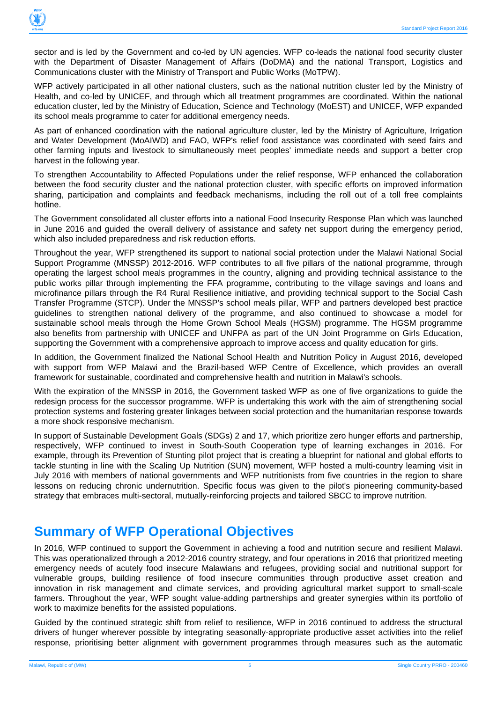

sector and is led by the Government and co-led by UN agencies. WFP co-leads the national food security cluster with the Department of Disaster Management of Affairs (DoDMA) and the national Transport, Logistics and Communications cluster with the Ministry of Transport and Public Works (MoTPW).

WFP actively participated in all other national clusters, such as the national nutrition cluster led by the Ministry of Health, and co-led by UNICEF, and through which all treatment programmes are coordinated. Within the national education cluster, led by the Ministry of Education, Science and Technology (MoEST) and UNICEF, WFP expanded its school meals programme to cater for additional emergency needs.

As part of enhanced coordination with the national agriculture cluster, led by the Ministry of Agriculture, Irrigation and Water Development (MoAIWD) and FAO, WFP's relief food assistance was coordinated with seed fairs and other farming inputs and livestock to simultaneously meet peoples' immediate needs and support a better crop harvest in the following year.

To strengthen Accountability to Affected Populations under the relief response, WFP enhanced the collaboration between the food security cluster and the national protection cluster, with specific efforts on improved information sharing, participation and complaints and feedback mechanisms, including the roll out of a toll free complaints hotline.

The Government consolidated all cluster efforts into a national Food Insecurity Response Plan which was launched in June 2016 and guided the overall delivery of assistance and safety net support during the emergency period, which also included preparedness and risk reduction efforts.

Throughout the year, WFP strengthened its support to national social protection under the Malawi National Social Support Programme (MNSSP) 2012-2016. WFP contributes to all five pillars of the national programme, through operating the largest school meals programmes in the country, aligning and providing technical assistance to the public works pillar through implementing the FFA programme, contributing to the village savings and loans and microfinance pillars through the R4 Rural Resilience initiative, and providing technical support to the Social Cash Transfer Programme (STCP). Under the MNSSP's school meals pillar, WFP and partners developed best practice guidelines to strengthen national delivery of the programme, and also continued to showcase a model for sustainable school meals through the Home Grown School Meals (HGSM) programme. The HGSM programme also benefits from partnership with UNICEF and UNFPA as part of the UN Joint Programme on Girls Education, supporting the Government with a comprehensive approach to improve access and quality education for girls.

In addition, the Government finalized the National School Health and Nutrition Policy in August 2016, developed with support from WFP Malawi and the Brazil-based WFP Centre of Excellence, which provides an overall framework for sustainable, coordinated and comprehensive health and nutrition in Malawi's schools.

With the expiration of the MNSSP in 2016, the Government tasked WFP as one of five organizations to guide the redesign process for the successor programme. WFP is undertaking this work with the aim of strengthening social protection systems and fostering greater linkages between social protection and the humanitarian response towards a more shock responsive mechanism.

In support of Sustainable Development Goals (SDGs) 2 and 17, which prioritize zero hunger efforts and partnership, respectively, WFP continued to invest in South-South Cooperation type of learning exchanges in 2016. For example, through its Prevention of Stunting pilot project that is creating a blueprint for national and global efforts to tackle stunting in line with the Scaling Up Nutrition (SUN) movement, WFP hosted a multi-country learning visit in July 2016 with members of national governments and WFP nutritionists from five countries in the region to share lessons on reducing chronic undernutrition. Specific focus was given to the pilot's pioneering community-based strategy that embraces multi-sectoral, mutually-reinforcing projects and tailored SBCC to improve nutrition.

# **Summary of WFP Operational Objectives**

In 2016, WFP continued to support the Government in achieving a food and nutrition secure and resilient Malawi. This was operationalized through a 2012-2016 country strategy, and four operations in 2016 that prioritized meeting emergency needs of acutely food insecure Malawians and refugees, providing social and nutritional support for vulnerable groups, building resilience of food insecure communities through productive asset creation and innovation in risk management and climate services, and providing agricultural market support to small-scale farmers. Throughout the year, WFP sought value-adding partnerships and greater synergies within its portfolio of work to maximize benefits for the assisted populations.

Guided by the continued strategic shift from relief to resilience, WFP in 2016 continued to address the structural drivers of hunger wherever possible by integrating seasonally-appropriate productive asset activities into the relief response, prioritising better alignment with government programmes through measures such as the automatic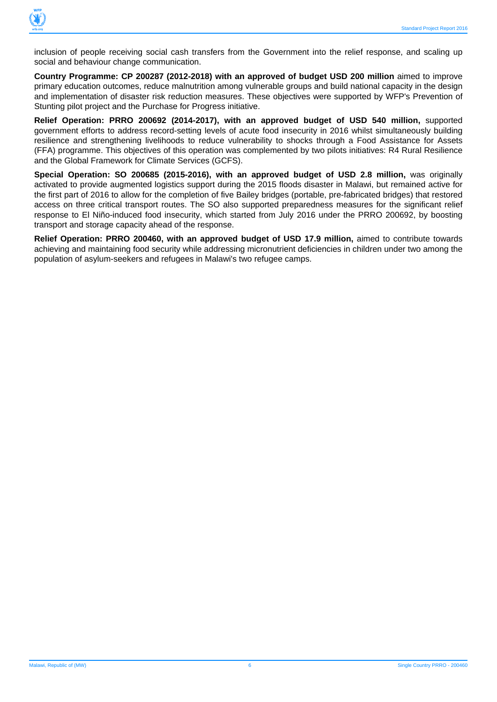

inclusion of people receiving social cash transfers from the Government into the relief response, and scaling up social and behaviour change communication.

**Country Programme: CP 200287 (2012-2018) with an approved of budget USD 200 million** aimed to improve primary education outcomes, reduce malnutrition among vulnerable groups and build national capacity in the design and implementation of disaster risk reduction measures. These objectives were supported by WFP's Prevention of Stunting pilot project and the Purchase for Progress initiative.

**Relief Operation: PRRO 200692 (2014-2017), with an approved budget of USD 540 million,** supported government efforts to address record-setting levels of acute food insecurity in 2016 whilst simultaneously building resilience and strengthening livelihoods to reduce vulnerability to shocks through a Food Assistance for Assets (FFA) programme. This objectives of this operation was complemented by two pilots initiatives: R4 Rural Resilience and the Global Framework for Climate Services (GCFS).

**Special Operation: SO 200685 (2015-2016), with an approved budget of USD 2.8 million,** was originally activated to provide augmented logistics support during the 2015 floods disaster in Malawi, but remained active for the first part of 2016 to allow for the completion of five Bailey bridges (portable, pre-fabricated bridges) that restored access on three critical transport routes. The SO also supported preparedness measures for the significant relief response to El Niño-induced food insecurity, which started from July 2016 under the PRRO 200692, by boosting transport and storage capacity ahead of the response.

**Relief Operation: PRRO 200460, with an approved budget of USD 17.9 million,** aimed to contribute towards achieving and maintaining food security while addressing micronutrient deficiencies in children under two among the population of asylum-seekers and refugees in Malawi's two refugee camps.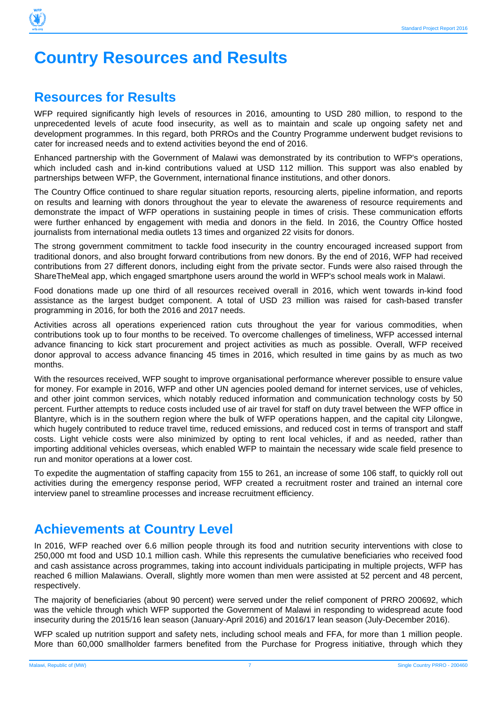

# **Country Resources and Results**

# **Resources for Results**

WFP required significantly high levels of resources in 2016, amounting to USD 280 million, to respond to the unprecedented levels of acute food insecurity, as well as to maintain and scale up ongoing safety net and development programmes. In this regard, both PRROs and the Country Programme underwent budget revisions to cater for increased needs and to extend activities beyond the end of 2016.

Enhanced partnership with the Government of Malawi was demonstrated by its contribution to WFP's operations, which included cash and in-kind contributions valued at USD 112 million. This support was also enabled by partnerships between WFP, the Government, international finance institutions, and other donors.

The Country Office continued to share regular situation reports, resourcing alerts, pipeline information, and reports on results and learning with donors throughout the year to elevate the awareness of resource requirements and demonstrate the impact of WFP operations in sustaining people in times of crisis. These communication efforts were further enhanced by engagement with media and donors in the field. In 2016, the Country Office hosted journalists from international media outlets 13 times and organized 22 visits for donors.

The strong government commitment to tackle food insecurity in the country encouraged increased support from traditional donors, and also brought forward contributions from new donors. By the end of 2016, WFP had received contributions from 27 different donors, including eight from the private sector. Funds were also raised through the ShareTheMeal app, which engaged smartphone users around the world in WFP's school meals work in Malawi.

Food donations made up one third of all resources received overall in 2016, which went towards in-kind food assistance as the largest budget component. A total of USD 23 million was raised for cash-based transfer programming in 2016, for both the 2016 and 2017 needs.

Activities across all operations experienced ration cuts throughout the year for various commodities, when contributions took up to four months to be received. To overcome challenges of timeliness, WFP accessed internal advance financing to kick start procurement and project activities as much as possible. Overall, WFP received donor approval to access advance financing 45 times in 2016, which resulted in time gains by as much as two months.

With the resources received, WFP sought to improve organisational performance wherever possible to ensure value for money. For example in 2016, WFP and other UN agencies pooled demand for internet services, use of vehicles, and other joint common services, which notably reduced information and communication technology costs by 50 percent. Further attempts to reduce costs included use of air travel for staff on duty travel between the WFP office in Blantyre, which is in the southern region where the bulk of WFP operations happen, and the capital city Lilongwe, which hugely contributed to reduce travel time, reduced emissions, and reduced cost in terms of transport and staff costs. Light vehicle costs were also minimized by opting to rent local vehicles, if and as needed, rather than importing additional vehicles overseas, which enabled WFP to maintain the necessary wide scale field presence to run and monitor operations at a lower cost.

To expedite the augmentation of staffing capacity from 155 to 261, an increase of some 106 staff, to quickly roll out activities during the emergency response period, WFP created a recruitment roster and trained an internal core interview panel to streamline processes and increase recruitment efficiency.

# **Achievements at Country Level**

In 2016, WFP reached over 6.6 million people through its food and nutrition security interventions with close to 250,000 mt food and USD 10.1 million cash. While this represents the cumulative beneficiaries who received food and cash assistance across programmes, taking into account individuals participating in multiple projects, WFP has reached 6 million Malawians. Overall, slightly more women than men were assisted at 52 percent and 48 percent, respectively.

The majority of beneficiaries (about 90 percent) were served under the relief component of PRRO 200692, which was the vehicle through which WFP supported the Government of Malawi in responding to widespread acute food insecurity during the 2015/16 lean season (January-April 2016) and 2016/17 lean season (July-December 2016).

WFP scaled up nutrition support and safety nets, including school meals and FFA, for more than 1 million people. More than 60,000 smallholder farmers benefited from the Purchase for Progress initiative, through which they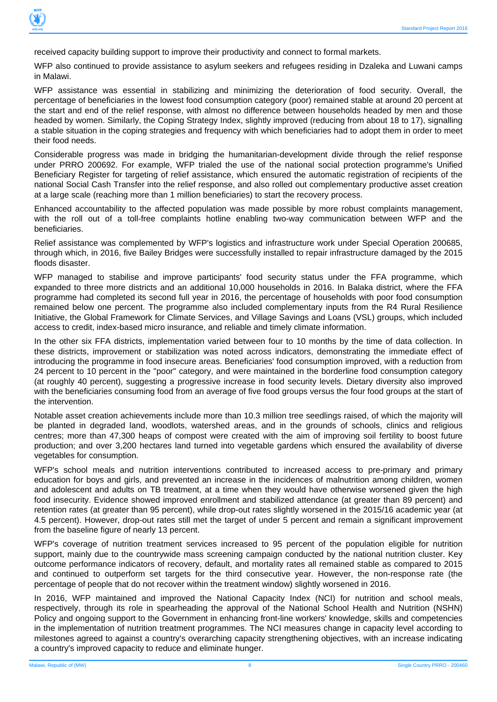

received capacity building support to improve their productivity and connect to formal markets.

WFP also continued to provide assistance to asylum seekers and refugees residing in Dzaleka and Luwani camps in Malawi.

WFP assistance was essential in stabilizing and minimizing the deterioration of food security. Overall, the percentage of beneficiaries in the lowest food consumption category (poor) remained stable at around 20 percent at the start and end of the relief response, with almost no difference between households headed by men and those headed by women. Similarly, the Coping Strategy Index, slightly improved (reducing from about 18 to 17), signalling a stable situation in the coping strategies and frequency with which beneficiaries had to adopt them in order to meet their food needs.

Considerable progress was made in bridging the humanitarian-development divide through the relief response under PRRO 200692. For example, WFP trialed the use of the national social protection programme's Unified Beneficiary Register for targeting of relief assistance, which ensured the automatic registration of recipients of the national Social Cash Transfer into the relief response, and also rolled out complementary productive asset creation at a large scale (reaching more than 1 million beneficiaries) to start the recovery process.

Enhanced accountability to the affected population was made possible by more robust complaints management, with the roll out of a toll-free complaints hotline enabling two-way communication between WFP and the beneficiaries.

Relief assistance was complemented by WFP's logistics and infrastructure work under Special Operation 200685, through which, in 2016, five Bailey Bridges were successfully installed to repair infrastructure damaged by the 2015 floods disaster.

WFP managed to stabilise and improve participants' food security status under the FFA programme, which expanded to three more districts and an additional 10,000 households in 2016. In Balaka district, where the FFA programme had completed its second full year in 2016, the percentage of households with poor food consumption remained below one percent. The programme also included complementary inputs from the R4 Rural Resilience Initiative, the Global Framework for Climate Services, and Village Savings and Loans (VSL) groups, which included access to credit, index-based micro insurance, and reliable and timely climate information.

In the other six FFA districts, implementation varied between four to 10 months by the time of data collection. In these districts, improvement or stabilization was noted across indicators, demonstrating the immediate effect of introducing the programme in food insecure areas. Beneficiaries' food consumption improved, with a reduction from 24 percent to 10 percent in the "poor" category, and were maintained in the borderline food consumption category (at roughly 40 percent), suggesting a progressive increase in food security levels. Dietary diversity also improved with the beneficiaries consuming food from an average of five food groups versus the four food groups at the start of the intervention.

Notable asset creation achievements include more than 10.3 million tree seedlings raised, of which the majority will be planted in degraded land, woodlots, watershed areas, and in the grounds of schools, clinics and religious centres; more than 47,300 heaps of compost were created with the aim of improving soil fertility to boost future production; and over 3,200 hectares land turned into vegetable gardens which ensured the availability of diverse vegetables for consumption.

WFP's school meals and nutrition interventions contributed to increased access to pre-primary and primary education for boys and girls, and prevented an increase in the incidences of malnutrition among children, women and adolescent and adults on TB treatment, at a time when they would have otherwise worsened given the high food insecurity. Evidence showed improved enrollment and stabilized attendance (at greater than 89 percent) and retention rates (at greater than 95 percent), while drop-out rates slightly worsened in the 2015/16 academic year (at 4.5 percent). However, drop-out rates still met the target of under 5 percent and remain a significant improvement from the baseline figure of nearly 13 percent.

WFP's coverage of nutrition treatment services increased to 95 percent of the population eligible for nutrition support, mainly due to the countrywide mass screening campaign conducted by the national nutrition cluster. Key outcome performance indicators of recovery, default, and mortality rates all remained stable as compared to 2015 and continued to outperform set targets for the third consecutive year. However, the non-response rate (the percentage of people that do not recover within the treatment window) slightly worsened in 2016.

In 2016, WFP maintained and improved the National Capacity Index (NCI) for nutrition and school meals, respectively, through its role in spearheading the approval of the National School Health and Nutrition (NSHN) Policy and ongoing support to the Government in enhancing front-line workers' knowledge, skills and competencies in the implementation of nutrition treatment programmes. The NCI measures change in capacity level according to milestones agreed to against a country's overarching capacity strengthening objectives, with an increase indicating a country's improved capacity to reduce and eliminate hunger.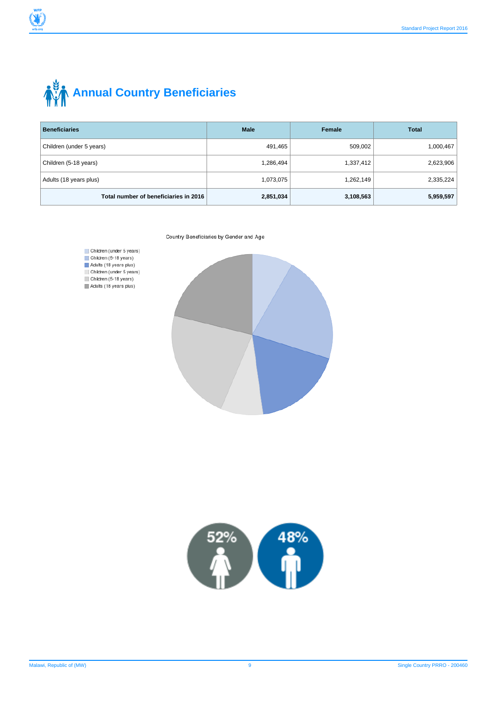

# **AND Annual Country Beneficiaries**

| <b>Beneficiaries</b>                  | <b>Male</b> | Female    | <b>Total</b> |  |
|---------------------------------------|-------------|-----------|--------------|--|
| Children (under 5 years)              | 491,465     | 509,002   | 1,000,467    |  |
| Children (5-18 years)                 | 1,286,494   | 1,337,412 | 2,623,906    |  |
| Adults (18 years plus)                | 1,073,075   | 1,262,149 | 2,335,224    |  |
| Total number of beneficiaries in 2016 | 2,851,034   | 3,108,563 | 5,959,597    |  |







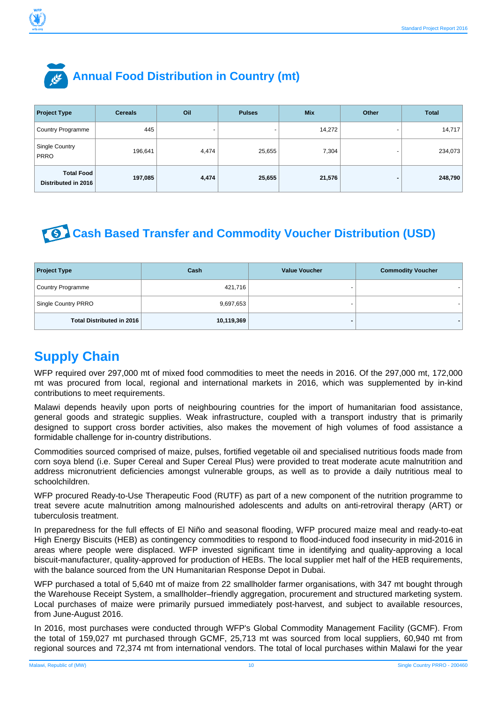

# **Annual Food Distribution in Country (mt)**

| <b>Project Type</b>                      | <b>Cereals</b> | Oil                      | <b>Pulses</b> | <b>Mix</b> | Other | <b>Total</b> |
|------------------------------------------|----------------|--------------------------|---------------|------------|-------|--------------|
| <b>Country Programme</b>                 | 445            | $\overline{\phantom{0}}$ | -             | 14,272     |       | 14,717       |
| Single Country<br><b>PRRO</b>            | 196,641        | 4,474                    | 25,655        | 7,304      |       | 234,073      |
| <b>Total Food</b><br>Distributed in 2016 | 197,085        | 4,474                    | 25,655        | 21,576     | -     | 248,790      |

# **Cash Based Transfer and Commodity Voucher Distribution (USD)**

| <b>Project Type</b>              | Cash       | <b>Value Voucher</b> | <b>Commodity Voucher</b> |
|----------------------------------|------------|----------------------|--------------------------|
| Country Programme                | 421,716    |                      |                          |
| Single Country PRRO              | 9,697,653  |                      |                          |
| <b>Total Distributed in 2016</b> | 10,119,369 |                      |                          |

# **Supply Chain**

WFP required over 297,000 mt of mixed food commodities to meet the needs in 2016. Of the 297,000 mt, 172,000 mt was procured from local, regional and international markets in 2016, which was supplemented by in-kind contributions to meet requirements.

Malawi depends heavily upon ports of neighbouring countries for the import of humanitarian food assistance, general goods and strategic supplies. Weak infrastructure, coupled with a transport industry that is primarily designed to support cross border activities, also makes the movement of high volumes of food assistance a formidable challenge for in-country distributions.

Commodities sourced comprised of maize, pulses, fortified vegetable oil and specialised nutritious foods made from corn soya blend (i.e. Super Cereal and Super Cereal Plus) were provided to treat moderate acute malnutrition and address micronutrient deficiencies amongst vulnerable groups, as well as to provide a daily nutritious meal to schoolchildren.

WFP procured Ready-to-Use Therapeutic Food (RUTF) as part of a new component of the nutrition programme to treat severe acute malnutrition among malnourished adolescents and adults on anti-retroviral therapy (ART) or tuberculosis treatment.

In preparedness for the full effects of El Niño and seasonal flooding, WFP procured maize meal and ready-to-eat High Energy Biscuits (HEB) as contingency commodities to respond to flood-induced food insecurity in mid-2016 in areas where people were displaced. WFP invested significant time in identifying and quality-approving a local biscuit-manufacturer, quality-approved for production of HEBs. The local supplier met half of the HEB requirements, with the balance sourced from the UN Humanitarian Response Depot in Dubai.

WFP purchased a total of 5,640 mt of maize from 22 smallholder farmer organisations, with 347 mt bought through the Warehouse Receipt System, a smallholder–friendly aggregation, procurement and structured marketing system. Local purchases of maize were primarily pursued immediately post-harvest, and subject to available resources, from June-August 2016.

In 2016, most purchases were conducted through WFP's Global Commodity Management Facility (GCMF). From the total of 159,027 mt purchased through GCMF, 25,713 mt was sourced from local suppliers, 60,940 mt from regional sources and 72,374 mt from international vendors. The total of local purchases within Malawi for the year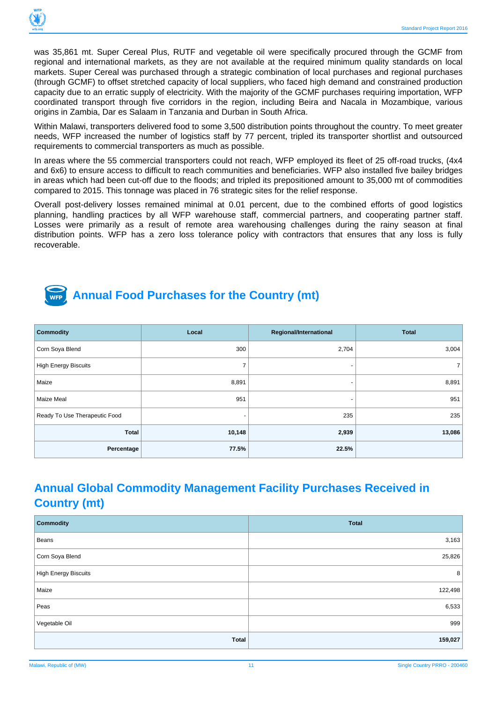

was 35,861 mt. Super Cereal Plus, RUTF and vegetable oil were specifically procured through the GCMF from regional and international markets, as they are not available at the required minimum quality standards on local markets. Super Cereal was purchased through a strategic combination of local purchases and regional purchases (through GCMF) to offset stretched capacity of local suppliers, who faced high demand and constrained production capacity due to an erratic supply of electricity. With the majority of the GCMF purchases requiring importation, WFP coordinated transport through five corridors in the region, including Beira and Nacala in Mozambique, various origins in Zambia, Dar es Salaam in Tanzania and Durban in South Africa.

Within Malawi, transporters delivered food to some 3,500 distribution points throughout the country. To meet greater needs, WFP increased the number of logistics staff by 77 percent, tripled its transporter shortlist and outsourced requirements to commercial transporters as much as possible.

In areas where the 55 commercial transporters could not reach, WFP employed its fleet of 25 off-road trucks, (4x4 and 6x6) to ensure access to difficult to reach communities and beneficiaries. WFP also installed five bailey bridges in areas which had been cut-off due to the floods; and tripled its prepositioned amount to 35,000 mt of commodities compared to 2015. This tonnage was placed in 76 strategic sites for the relief response.

Overall post-delivery losses remained minimal at 0.01 percent, due to the combined efforts of good logistics planning, handling practices by all WFP warehouse staff, commercial partners, and cooperating partner staff. Losses were primarily as a result of remote area warehousing challenges during the rainy season at final distribution points. WFP has a zero loss tolerance policy with contractors that ensures that any loss is fully recoverable.



# **Annual Food Purchases for the Country (mt)**

| <b>Commodity</b>              | Local          | Regional/International | <b>Total</b> |
|-------------------------------|----------------|------------------------|--------------|
| Corn Soya Blend               | 300            | 2,704                  | 3,004        |
| <b>High Energy Biscuits</b>   | $\overline{7}$ | ۰                      | 7            |
| Maize                         | 8,891          |                        | 8,891        |
| Maize Meal                    | 951            |                        | 951          |
| Ready To Use Therapeutic Food |                | 235                    | 235          |
| Total                         | 10,148         | 2,939                  | 13,086       |
| Percentage                    | 77.5%          | 22.5%                  |              |

# **Annual Global Commodity Management Facility Purchases Received in Country (mt)**

| <b>Commodity</b>            | <b>Total</b> |
|-----------------------------|--------------|
| Beans                       | 3,163        |
| Corn Soya Blend             | 25,826       |
| <b>High Energy Biscuits</b> | 8            |
| Maize                       | 122,498      |
| Peas                        | 6,533        |
| Vegetable Oil               | 999          |
| Total                       | 159,027      |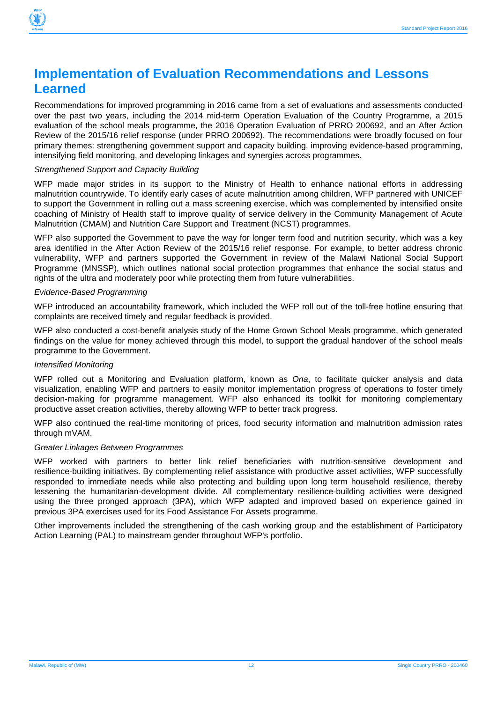

# **Implementation of Evaluation Recommendations and Lessons Learned**

Recommendations for improved programming in 2016 came from a set of evaluations and assessments conducted over the past two years, including the 2014 mid-term Operation Evaluation of the Country Programme, a 2015 evaluation of the school meals programme, the 2016 Operation Evaluation of PRRO 200692, and an After Action Review of the 2015/16 relief response (under PRRO 200692). The recommendations were broadly focused on four primary themes: strengthening government support and capacity building, improving evidence-based programming, intensifying field monitoring, and developing linkages and synergies across programmes.

#### Strengthened Support and Capacity Building

WFP made major strides in its support to the Ministry of Health to enhance national efforts in addressing malnutrition countrywide. To identify early cases of acute malnutrition among children, WFP partnered with UNICEF to support the Government in rolling out a mass screening exercise, which was complemented by intensified onsite coaching of Ministry of Health staff to improve quality of service delivery in the Community Management of Acute Malnutrition (CMAM) and Nutrition Care Support and Treatment (NCST) programmes.

WFP also supported the Government to pave the way for longer term food and nutrition security, which was a key area identified in the After Action Review of the 2015/16 relief response. For example, to better address chronic vulnerability, WFP and partners supported the Government in review of the Malawi National Social Support Programme (MNSSP), which outlines national social protection programmes that enhance the social status and rights of the ultra and moderately poor while protecting them from future vulnerabilities.

#### Evidence-Based Programming

WFP introduced an accountability framework, which included the WFP roll out of the toll-free hotline ensuring that complaints are received timely and regular feedback is provided.

WFP also conducted a cost-benefit analysis study of the Home Grown School Meals programme, which generated findings on the value for money achieved through this model, to support the gradual handover of the school meals programme to the Government.

#### Intensified Monitoring

WFP rolled out a Monitoring and Evaluation platform, known as Ona, to facilitate quicker analysis and data visualization, enabling WFP and partners to easily monitor implementation progress of operations to foster timely decision-making for programme management. WFP also enhanced its toolkit for monitoring complementary productive asset creation activities, thereby allowing WFP to better track progress.

WFP also continued the real-time monitoring of prices, food security information and malnutrition admission rates through mVAM.

#### Greater Linkages Between Programmes

WFP worked with partners to better link relief beneficiaries with nutrition-sensitive development and resilience-building initiatives. By complementing relief assistance with productive asset activities, WFP successfully responded to immediate needs while also protecting and building upon long term household resilience, thereby lessening the humanitarian-development divide. All complementary resilience-building activities were designed using the three pronged approach (3PA), which WFP adapted and improved based on experience gained in previous 3PA exercises used for its Food Assistance For Assets programme.

Other improvements included the strengthening of the cash working group and the establishment of Participatory Action Learning (PAL) to mainstream gender throughout WFP's portfolio.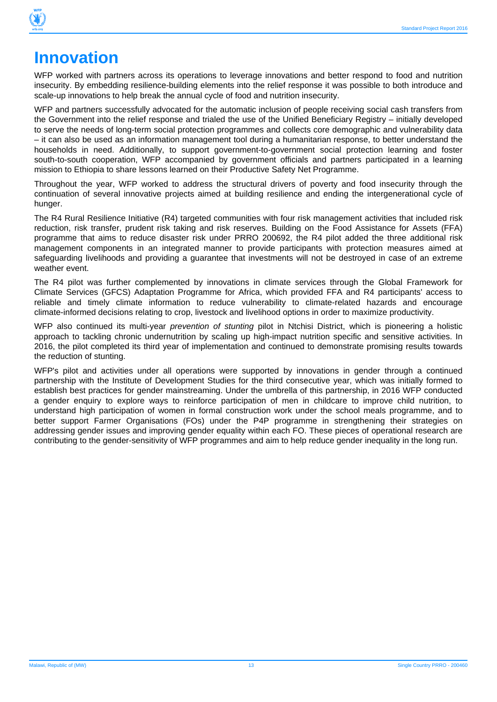

# **Innovation**

WFP worked with partners across its operations to leverage innovations and better respond to food and nutrition insecurity. By embedding resilience-building elements into the relief response it was possible to both introduce and scale-up innovations to help break the annual cycle of food and nutrition insecurity.

WFP and partners successfully advocated for the automatic inclusion of people receiving social cash transfers from the Government into the relief response and trialed the use of the Unified Beneficiary Registry – initially developed to serve the needs of long-term social protection programmes and collects core demographic and vulnerability data – it can also be used as an information management tool during a humanitarian response, to better understand the households in need. Additionally, to support government-to-government social protection learning and foster south-to-south cooperation, WFP accompanied by government officials and partners participated in a learning mission to Ethiopia to share lessons learned on their Productive Safety Net Programme.

Throughout the year, WFP worked to address the structural drivers of poverty and food insecurity through the continuation of several innovative projects aimed at building resilience and ending the intergenerational cycle of hunger.

The R4 Rural Resilience Initiative (R4) targeted communities with four risk management activities that included risk reduction, risk transfer, prudent risk taking and risk reserves. Building on the Food Assistance for Assets (FFA) programme that aims to reduce disaster risk under PRRO 200692, the R4 pilot added the three additional risk management components in an integrated manner to provide participants with protection measures aimed at safeguarding livelihoods and providing a guarantee that investments will not be destroyed in case of an extreme weather event.

The R4 pilot was further complemented by innovations in climate services through the Global Framework for Climate Services (GFCS) Adaptation Programme for Africa, which provided FFA and R4 participants' access to reliable and timely climate information to reduce vulnerability to climate-related hazards and encourage climate-informed decisions relating to crop, livestock and livelihood options in order to maximize productivity.

WFP also continued its multi-year *prevention of stunting* pilot in Ntchisi District, which is pioneering a holistic approach to tackling chronic undernutrition by scaling up high-impact nutrition specific and sensitive activities. In 2016, the pilot completed its third year of implementation and continued to demonstrate promising results towards the reduction of stunting.

WFP's pilot and activities under all operations were supported by innovations in gender through a continued partnership with the Institute of Development Studies for the third consecutive year, which was initially formed to establish best practices for gender mainstreaming. Under the umbrella of this partnership, in 2016 WFP conducted a gender enquiry to explore ways to reinforce participation of men in childcare to improve child nutrition, to understand high participation of women in formal construction work under the school meals programme, and to better support Farmer Organisations (FOs) under the P4P programme in strengthening their strategies on addressing gender issues and improving gender equality within each FO. These pieces of operational research are contributing to the gender-sensitivity of WFP programmes and aim to help reduce gender inequality in the long run.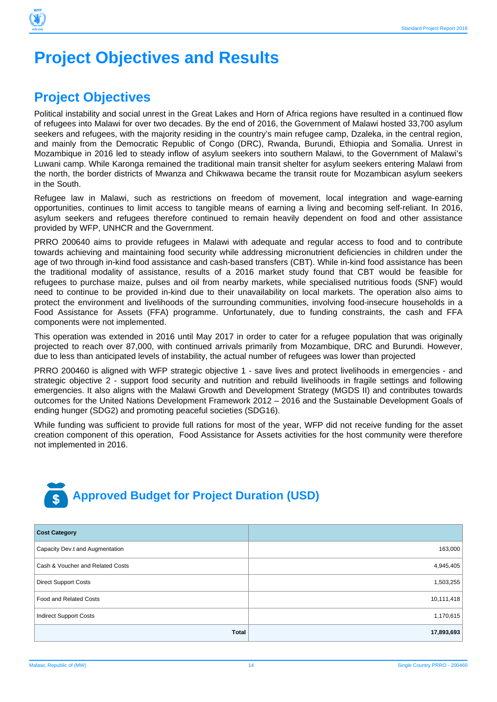

# **Project Objectives and Results**

# **Project Objectives**

Political instability and social unrest in the Great Lakes and Horn of Africa regions have resulted in a continued flow of refugees into Malawi for over two decades. By the end of 2016, the Government of Malawi hosted 33,700 asylum seekers and refugees, with the majority residing in the country's main refugee camp, Dzaleka, in the central region, and mainly from the Democratic Republic of Congo (DRC), Rwanda, Burundi, Ethiopia and Somalia. Unrest in Mozambique in 2016 led to steady inflow of asylum seekers into southern Malawi, to the Government of Malawi's Luwani camp. While Karonga remained the traditional main transit shelter for asylum seekers entering Malawi from the north, the border districts of Mwanza and Chikwawa became the transit route for Mozambican asylum seekers in the South.

Refugee law in Malawi, such as restrictions on freedom of movement, local integration and wage-earning opportunities, continues to limit access to tangible means of earning a living and becoming self-reliant. In 2016, asylum seekers and refugees therefore continued to remain heavily dependent on food and other assistance provided by WFP, UNHCR and the Government.

PRRO 200640 aims to provide refugees in Malawi with adequate and regular access to food and to contribute towards achieving and maintaining food security while addressing micronutrient deficiencies in children under the age of two through in-kind food assistance and cash-based transfers (CBT). While in-kind food assistance has been the traditional modality of assistance, results of a 2016 market study found that CBT would be feasible for refugees to purchase maize, pulses and oil from nearby markets, while specialised nutritious foods (SNF) would need to continue to be provided in-kind due to their unavailability on local markets. The operation also aims to protect the environment and livelihoods of the surrounding communities, involving food-insecure households in a Food Assistance for Assets (FFA) programme. Unfortunately, due to funding constraints, the cash and FFA components were not implemented.

This operation was extended in 2016 until May 2017 in order to cater for a refugee population that was originally projected to reach over 87,000, with continued arrivals primarily from Mozambique, DRC and Burundi. However, due to less than anticipated levels of instability, the actual number of refugees was lower than projected

PRRO 200460 is aligned with WFP strategic objective 1 - save lives and protect livelihoods in emergencies - and strategic objective 2 - support food security and nutrition and rebuild livelihoods in fragile settings and following emergencies. It also aligns with the Malawi Growth and Development Strategy (MGDS II) and contributes towards outcomes for the United Nations Development Framework 2012 – 2016 and the Sustainable Development Goals of ending hunger (SDG2) and promoting peaceful societies (SDG16).

While funding was sufficient to provide full rations for most of the year, WFP did not receive funding for the asset creation component of this operation, Food Assistance for Assets activities for the host community were therefore not implemented in 2016.



| <b>Cost Category</b>             |            |
|----------------------------------|------------|
| Capacity Dev.t and Augmentation  | 163,000    |
| Cash & Voucher and Related Costs | 4,945,405  |
| <b>Direct Support Costs</b>      | 1,503,255  |
| Food and Related Costs           | 10,111,418 |
| <b>Indirect Support Costs</b>    | 1,170,615  |
| <b>Total</b>                     | 17,893,693 |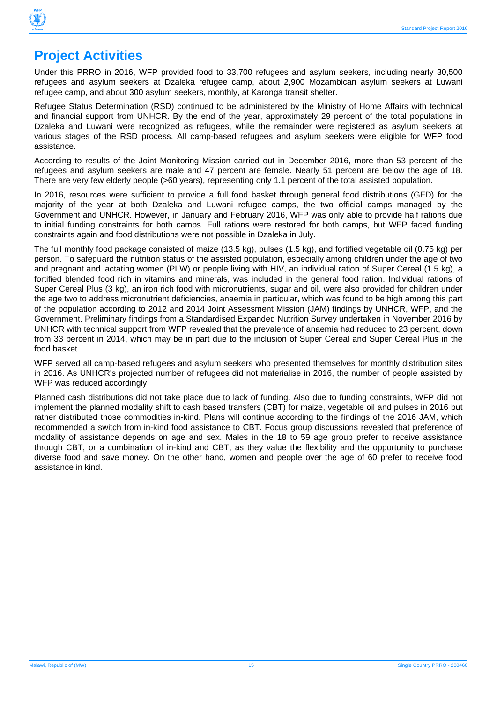

# **Project Activities**

Under this PRRO in 2016, WFP provided food to 33,700 refugees and asylum seekers, including nearly 30,500 refugees and asylum seekers at Dzaleka refugee camp, about 2,900 Mozambican asylum seekers at Luwani refugee camp, and about 300 asylum seekers, monthly, at Karonga transit shelter.

Refugee Status Determination (RSD) continued to be administered by the Ministry of Home Affairs with technical and financial support from UNHCR. By the end of the year, approximately 29 percent of the total populations in Dzaleka and Luwani were recognized as refugees, while the remainder were registered as asylum seekers at various stages of the RSD process. All camp-based refugees and asylum seekers were eligible for WFP food assistance.

According to results of the Joint Monitoring Mission carried out in December 2016, more than 53 percent of the refugees and asylum seekers are male and 47 percent are female. Nearly 51 percent are below the age of 18. There are very few elderly people (>60 years), representing only 1.1 percent of the total assisted population.

In 2016, resources were sufficient to provide a full food basket through general food distributions (GFD) for the majority of the year at both Dzaleka and Luwani refugee camps, the two official camps managed by the Government and UNHCR. However, in January and February 2016, WFP was only able to provide half rations due to initial funding constraints for both camps. Full rations were restored for both camps, but WFP faced funding constraints again and food distributions were not possible in Dzaleka in July.

The full monthly food package consisted of maize (13.5 kg), pulses (1.5 kg), and fortified vegetable oil (0.75 kg) per person. To safeguard the nutrition status of the assisted population, especially among children under the age of two and pregnant and lactating women (PLW) or people living with HIV, an individual ration of Super Cereal (1.5 kg), a fortified blended food rich in vitamins and minerals, was included in the general food ration. Individual rations of Super Cereal Plus (3 kg), an iron rich food with micronutrients, sugar and oil, were also provided for children under the age two to address micronutrient deficiencies, anaemia in particular, which was found to be high among this part of the population according to 2012 and 2014 Joint Assessment Mission (JAM) findings by UNHCR, WFP, and the Government. Preliminary findings from a Standardised Expanded Nutrition Survey undertaken in November 2016 by UNHCR with technical support from WFP revealed that the prevalence of anaemia had reduced to 23 percent, down from 33 percent in 2014, which may be in part due to the inclusion of Super Cereal and Super Cereal Plus in the food basket.

WFP served all camp-based refugees and asylum seekers who presented themselves for monthly distribution sites in 2016. As UNHCR's projected number of refugees did not materialise in 2016, the number of people assisted by WFP was reduced accordingly.

Planned cash distributions did not take place due to lack of funding. Also due to funding constraints, WFP did not implement the planned modality shift to cash based transfers (CBT) for maize, vegetable oil and pulses in 2016 but rather distributed those commodities in-kind. Plans will continue according to the findings of the 2016 JAM, which recommended a switch from in-kind food assistance to CBT. Focus group discussions revealed that preference of modality of assistance depends on age and sex. Males in the 18 to 59 age group prefer to receive assistance through CBT, or a combination of in-kind and CBT, as they value the flexibility and the opportunity to purchase diverse food and save money. On the other hand, women and people over the age of 60 prefer to receive food assistance in kind.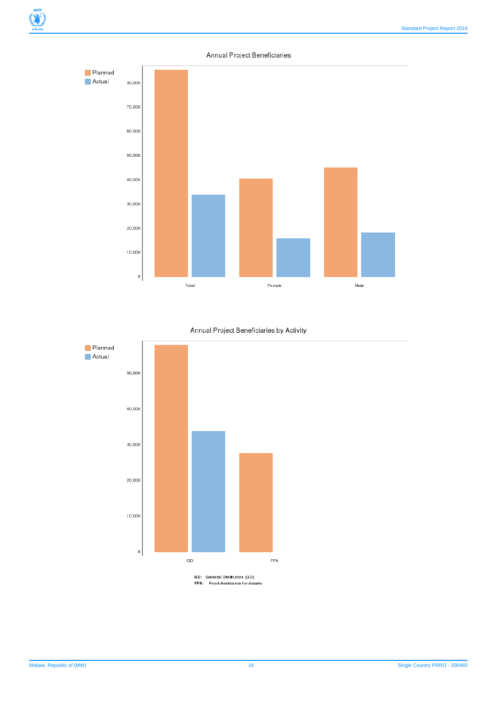#### Annual Project Beneficiaries



#### Annual Project Beneficiaries by Activity



GD: General Distribution (GD)<br>FFA: Food-Assistance-for-Assets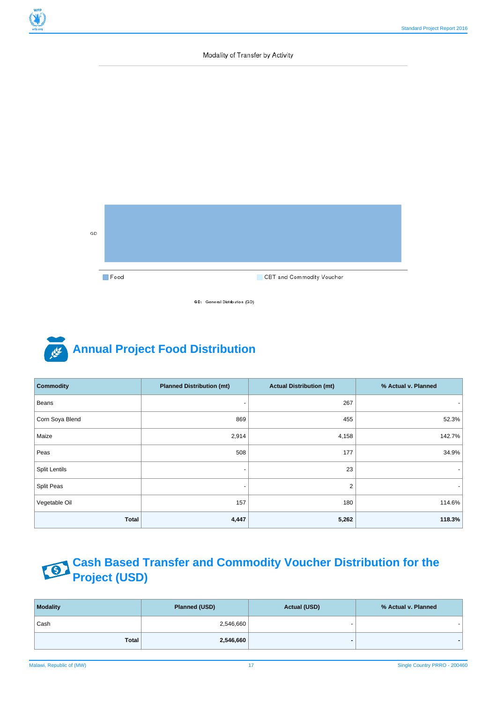#### Modality of Transfer by Activity



GD: General Distribution (GD)

# **Annual Project Food Distribution**

| <b>Commodity</b>     | <b>Planned Distribution (mt)</b> | <b>Actual Distribution (mt)</b> | % Actual v. Planned |
|----------------------|----------------------------------|---------------------------------|---------------------|
| Beans                | $\overline{\phantom{0}}$         | 267                             |                     |
| Corn Soya Blend      | 869                              | 455                             | 52.3%               |
| Maize                | 2,914                            | 4,158                           | 142.7%              |
| Peas                 | 508                              | 177                             | 34.9%               |
| <b>Split Lentils</b> |                                  | 23                              |                     |
| Split Peas           | $\overline{\phantom{0}}$         | 2                               |                     |
| Vegetable Oil        | 157                              | 180                             | 114.6%              |
| <b>Total</b>         | 4,447                            | 5,262                           | 118.3%              |

#### **Cash Based Transfer and Commodity Voucher Distribution for the** 78 **Project (USD)**

| <b>Modality</b> | Planned (USD) | <b>Actual (USD)</b> | % Actual v. Planned |  |  |
|-----------------|---------------|---------------------|---------------------|--|--|
| Cash            | 2,546,660     | -                   |                     |  |  |
| <b>Total</b>    | 2,546,660     |                     |                     |  |  |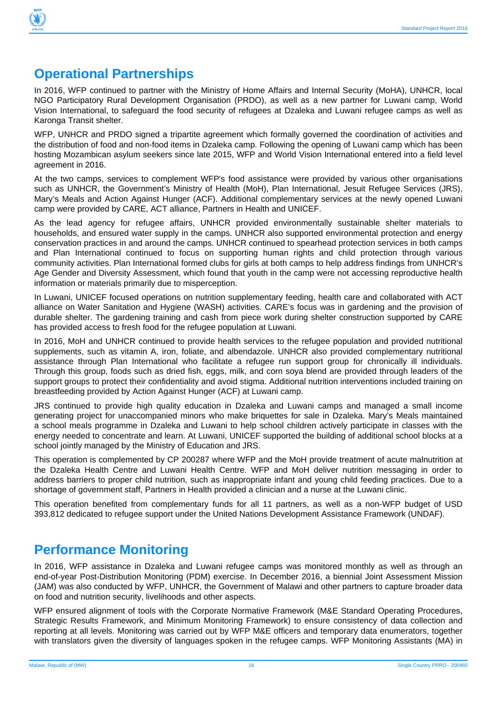

# **Operational Partnerships**

In 2016, WFP continued to partner with the Ministry of Home Affairs and Internal Security (MoHA), UNHCR, local NGO Participatory Rural Development Organisation (PRDO), as well as a new partner for Luwani camp, World Vision International, to safeguard the food security of refugees at Dzaleka and Luwani refugee camps as well as Karonga Transit shelter.

WFP, UNHCR and PRDO signed a tripartite agreement which formally governed the coordination of activities and the distribution of food and non-food items in Dzaleka camp. Following the opening of Luwani camp which has been hosting Mozambican asylum seekers since late 2015, WFP and World Vision International entered into a field level agreement in 2016.

At the two camps, services to complement WFP's food assistance were provided by various other organisations such as UNHCR, the Government's Ministry of Health (MoH), Plan International, Jesuit Refugee Services (JRS), Mary's Meals and Action Against Hunger (ACF). Additional complementary services at the newly opened Luwani camp were provided by CARE, ACT alliance, Partners in Health and UNICEF.

As the lead agency for refugee affairs, UNHCR provided environmentally sustainable shelter materials to households, and ensured water supply in the camps. UNHCR also supported environmental protection and energy conservation practices in and around the camps. UNHCR continued to spearhead protection services in both camps and Plan International continued to focus on supporting human rights and child protection through various community activities. Plan International formed clubs for girls at both camps to help address findings from UNHCR's Age Gender and Diversity Assessment, which found that youth in the camp were not accessing reproductive health information or materials primarily due to misperception.

In Luwani, UNICEF focused operations on nutrition supplementary feeding, health care and collaborated with ACT alliance on Water Sanitation and Hygiene (WASH) activities. CARE's focus was in gardening and the provision of durable shelter. The gardening training and cash from piece work during shelter construction supported by CARE has provided access to fresh food for the refugee population at Luwani.

In 2016, MoH and UNHCR continued to provide health services to the refugee population and provided nutritional supplements, such as vitamin A, iron, foliate, and albendazole. UNHCR also provided complementary nutritional assistance through Plan International who facilitate a refugee run support group for chronically ill individuals. Through this group, foods such as dried fish, eggs, milk, and corn soya blend are provided through leaders of the support groups to protect their confidentiality and avoid stigma. Additional nutrition interventions included training on breastfeeding provided by Action Against Hunger (ACF) at Luwani camp.

JRS continued to provide high quality education in Dzaleka and Luwani camps and managed a small income generating project for unaccompanied minors who make briquettes for sale in Dzaleka. Mary's Meals maintained a school meals programme in Dzaleka and Luwani to help school children actively participate in classes with the energy needed to concentrate and learn. At Luwani, UNICEF supported the building of additional school blocks at a school jointly managed by the Ministry of Education and JRS.

This operation is complemented by CP 200287 where WFP and the MoH provide treatment of acute malnutrition at the Dzaleka Health Centre and Luwani Health Centre. WFP and MoH deliver nutrition messaging in order to address barriers to proper child nutrition, such as inappropriate infant and young child feeding practices. Due to a shortage of government staff, Partners in Health provided a clinician and a nurse at the Luwani clinic.

This operation benefited from complementary funds for all 11 partners, as well as a non-WFP budget of USD 393,812 dedicated to refugee support under the United Nations Development Assistance Framework (UNDAF).

# **Performance Monitoring**

In 2016, WFP assistance in Dzaleka and Luwani refugee camps was monitored monthly as well as through an end-of-year Post-Distribution Monitoring (PDM) exercise. In December 2016, a biennial Joint Assessment Mission (JAM) was also conducted by WFP, UNHCR, the Government of Malawi and other partners to capture broader data on food and nutrition security, livelihoods and other aspects.

WFP ensured alignment of tools with the Corporate Normative Framework (M&E Standard Operating Procedures, Strategic Results Framework, and Minimum Monitoring Framework) to ensure consistency of data collection and reporting at all levels. Monitoring was carried out by WFP M&E officers and temporary data enumerators, together with translators given the diversity of languages spoken in the refugee camps. WFP Monitoring Assistants (MA) in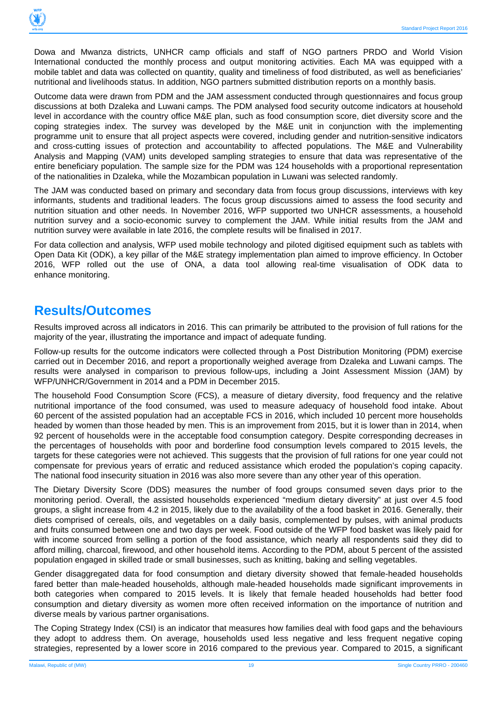

Dowa and Mwanza districts, UNHCR camp officials and staff of NGO partners PRDO and World Vision International conducted the monthly process and output monitoring activities. Each MA was equipped with a mobile tablet and data was collected on quantity, quality and timeliness of food distributed, as well as beneficiaries' nutritional and livelihoods status. In addition, NGO partners submitted distribution reports on a monthly basis.

Outcome data were drawn from PDM and the JAM assessment conducted through questionnaires and focus group discussions at both Dzaleka and Luwani camps. The PDM analysed food security outcome indicators at household level in accordance with the country office M&E plan, such as food consumption score, diet diversity score and the coping strategies index. The survey was developed by the M&E unit in conjunction with the implementing programme unit to ensure that all project aspects were covered, including gender and nutrition-sensitive indicators and cross-cutting issues of protection and accountability to affected populations. The M&E and Vulnerability Analysis and Mapping (VAM) units developed sampling strategies to ensure that data was representative of the entire beneficiary population. The sample size for the PDM was 124 households with a proportional representation of the nationalities in Dzaleka, while the Mozambican population in Luwani was selected randomly.

The JAM was conducted based on primary and secondary data from focus group discussions, interviews with key informants, students and traditional leaders. The focus group discussions aimed to assess the food security and nutrition situation and other needs. In November 2016, WFP supported two UNHCR assessments, a household nutrition survey and a socio-economic survey to complement the JAM. While initial results from the JAM and nutrition survey were available in late 2016, the complete results will be finalised in 2017.

For data collection and analysis, WFP used mobile technology and piloted digitised equipment such as tablets with Open Data Kit (ODK), a key pillar of the M&E strategy implementation plan aimed to improve efficiency. In October 2016, WFP rolled out the use of ONA, a data tool allowing real-time visualisation of ODK data to enhance monitoring.

### **Results/Outcomes**

Results improved across all indicators in 2016. This can primarily be attributed to the provision of full rations for the majority of the year, illustrating the importance and impact of adequate funding.

Follow-up results for the outcome indicators were collected through a Post Distribution Monitoring (PDM) exercise carried out in December 2016, and report a proportionally weighed average from Dzaleka and Luwani camps. The results were analysed in comparison to previous follow-ups, including a Joint Assessment Mission (JAM) by WFP/UNHCR/Government in 2014 and a PDM in December 2015.

The household Food Consumption Score (FCS), a measure of dietary diversity, food frequency and the relative nutritional importance of the food consumed, was used to measure adequacy of household food intake. About 60 percent of the assisted population had an acceptable FCS in 2016, which included 10 percent more households headed by women than those headed by men. This is an improvement from 2015, but it is lower than in 2014, when 92 percent of households were in the acceptable food consumption category. Despite corresponding decreases in the percentages of households with poor and borderline food consumption levels compared to 2015 levels, the targets for these categories were not achieved. This suggests that the provision of full rations for one year could not compensate for previous years of erratic and reduced assistance which eroded the population's coping capacity. The national food insecurity situation in 2016 was also more severe than any other year of this operation.

The Dietary Diversity Score (DDS) measures the number of food groups consumed seven days prior to the monitoring period. Overall, the assisted households experienced "medium dietary diversity" at just over 4.5 food groups, a slight increase from 4.2 in 2015, likely due to the availability of the a food basket in 2016. Generally, their diets comprised of cereals, oils, and vegetables on a daily basis, complemented by pulses, with animal products and fruits consumed between one and two days per week. Food outside of the WFP food basket was likely paid for with income sourced from selling a portion of the food assistance, which nearly all respondents said they did to afford milling, charcoal, firewood, and other household items. According to the PDM, about 5 percent of the assisted population engaged in skilled trade or small businesses, such as knitting, baking and selling vegetables.

Gender disaggregated data for food consumption and dietary diversity showed that female-headed households fared better than male-headed households, although male-headed households made significant improvements in both categories when compared to 2015 levels. It is likely that female headed households had better food consumption and dietary diversity as women more often received information on the importance of nutrition and diverse meals by various partner organisations.

The Coping Strategy Index (CSI) is an indicator that measures how families deal with food gaps and the behaviours they adopt to address them. On average, households used less negative and less frequent negative coping strategies, represented by a lower score in 2016 compared to the previous year. Compared to 2015, a significant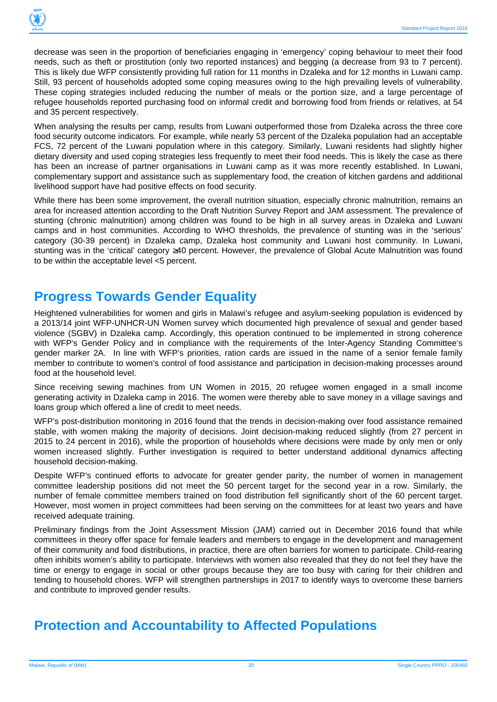

decrease was seen in the proportion of beneficiaries engaging in 'emergency' coping behaviour to meet their food needs, such as theft or prostitution (only two reported instances) and begging (a decrease from 93 to 7 percent). This is likely due WFP consistently providing full ration for 11 months in Dzaleka and for 12 months in Luwani camp. Still, 93 percent of households adopted some coping measures owing to the high prevailing levels of vulnerability. These coping strategies included reducing the number of meals or the portion size, and a large percentage of refugee households reported purchasing food on informal credit and borrowing food from friends or relatives, at 54 and 35 percent respectively.

When analysing the results per camp, results from Luwani outperformed those from Dzaleka across the three core food security outcome indicators. For example, while nearly 53 percent of the Dzaleka population had an acceptable FCS, 72 percent of the Luwani population where in this category. Similarly, Luwani residents had slightly higher dietary diversity and used coping strategies less frequently to meet their food needs. This is likely the case as there has been an increase of partner organisations in Luwani camp as it was more recently established. In Luwani, complementary support and assistance such as supplementary food, the creation of kitchen gardens and additional livelihood support have had positive effects on food security.

While there has been some improvement, the overall nutrition situation, especially chronic malnutrition, remains an area for increased attention according to the Draft Nutrition Survey Report and JAM assessment. The prevalence of stunting (chronic malnutrition) among children was found to be high in all survey areas in Dzaleka and Luwani camps and in host communities. According to WHO thresholds, the prevalence of stunting was in the 'serious' category (30-39 percent) in Dzaleka camp, Dzaleka host community and Luwani host community. In Luwani, stunting was in the 'critical' category ≥40 percent. However, the prevalence of Global Acute Malnutrition was found to be within the acceptable level <5 percent.

# **Progress Towards Gender Equality**

Heightened vulnerabilities for women and girls in Malawi's refugee and asylum-seeking population is evidenced by a 2013/14 joint WFP-UNHCR-UN Women survey which documented high prevalence of sexual and gender based violence (SGBV) in Dzaleka camp. Accordingly, this operation continued to be implemented in strong coherence with WFP's Gender Policy and in compliance with the requirements of the Inter-Agency Standing Committee's gender marker 2A. In line with WFP's priorities, ration cards are issued in the name of a senior female family member to contribute to women's control of food assistance and participation in decision-making processes around food at the household level.

Since receiving sewing machines from UN Women in 2015, 20 refugee women engaged in a small income generating activity in Dzaleka camp in 2016. The women were thereby able to save money in a village savings and loans group which offered a line of credit to meet needs.

WFP's post-distribution monitoring in 2016 found that the trends in decision-making over food assistance remained stable, with women making the majority of decisions. Joint decision-making reduced slightly (from 27 percent in 2015 to 24 percent in 2016), while the proportion of households where decisions were made by only men or only women increased slightly. Further investigation is required to better understand additional dynamics affecting household decision-making.

Despite WFP's continued efforts to advocate for greater gender parity, the number of women in management committee leadership positions did not meet the 50 percent target for the second year in a row. Similarly, the number of female committee members trained on food distribution fell significantly short of the 60 percent target. However, most women in project committees had been serving on the committees for at least two years and have received adequate training.

Preliminary findings from the Joint Assessment Mission (JAM) carried out in December 2016 found that while committees in theory offer space for female leaders and members to engage in the development and management of their community and food distributions, in practice, there are often barriers for women to participate. Child-rearing often inhibits women's ability to participate. Interviews with women also revealed that they do not feel they have the time or energy to engage in social or other groups because they are too busy with caring for their children and tending to household chores. WFP will strengthen partnerships in 2017 to identify ways to overcome these barriers and contribute to improved gender results.

# **Protection and Accountability to Affected Populations**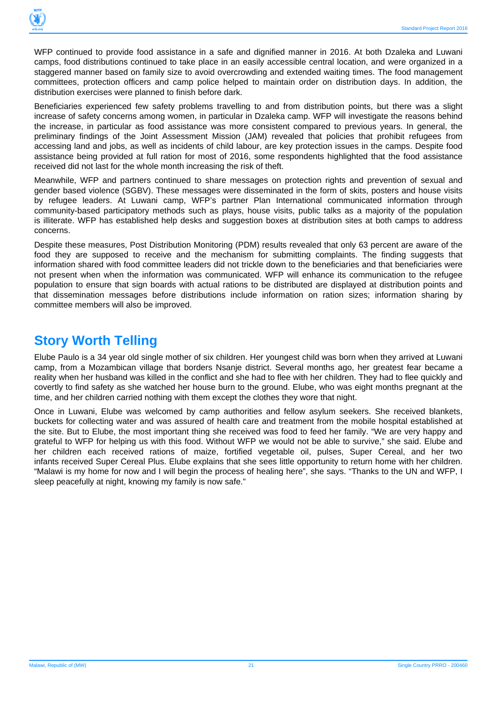

WFP continued to provide food assistance in a safe and dignified manner in 2016. At both Dzaleka and Luwani camps, food distributions continued to take place in an easily accessible central location, and were organized in a staggered manner based on family size to avoid overcrowding and extended waiting times. The food management committees, protection officers and camp police helped to maintain order on distribution days. In addition, the distribution exercises were planned to finish before dark.

Beneficiaries experienced few safety problems travelling to and from distribution points, but there was a slight increase of safety concerns among women, in particular in Dzaleka camp. WFP will investigate the reasons behind the increase, in particular as food assistance was more consistent compared to previous years. In general, the preliminary findings of the Joint Assessment Mission (JAM) revealed that policies that prohibit refugees from accessing land and jobs, as well as incidents of child labour, are key protection issues in the camps. Despite food assistance being provided at full ration for most of 2016, some respondents highlighted that the food assistance received did not last for the whole month increasing the risk of theft.

Meanwhile, WFP and partners continued to share messages on protection rights and prevention of sexual and gender based violence (SGBV). These messages were disseminated in the form of skits, posters and house visits by refugee leaders. At Luwani camp, WFP's partner Plan International communicated information through community-based participatory methods such as plays, house visits, public talks as a majority of the population is illiterate. WFP has established help desks and suggestion boxes at distribution sites at both camps to address concerns.

Despite these measures, Post Distribution Monitoring (PDM) results revealed that only 63 percent are aware of the food they are supposed to receive and the mechanism for submitting complaints. The finding suggests that information shared with food committee leaders did not trickle down to the beneficiaries and that beneficiaries were not present when when the information was communicated. WFP will enhance its communication to the refugee population to ensure that sign boards with actual rations to be distributed are displayed at distribution points and that dissemination messages before distributions include information on ration sizes; information sharing by committee members will also be improved.

# **Story Worth Telling**

Elube Paulo is a 34 year old single mother of six children. Her youngest child was born when they arrived at Luwani camp, from a Mozambican village that borders Nsanje district. Several months ago, her greatest fear became a reality when her husband was killed in the conflict and she had to flee with her children. They had to flee quickly and covertly to find safety as she watched her house burn to the ground. Elube, who was eight months pregnant at the time, and her children carried nothing with them except the clothes they wore that night.

Once in Luwani, Elube was welcomed by camp authorities and fellow asylum seekers. She received blankets, buckets for collecting water and was assured of health care and treatment from the mobile hospital established at the site. But to Elube, the most important thing she received was food to feed her family. "We are very happy and grateful to WFP for helping us with this food. Without WFP we would not be able to survive," she said. Elube and her children each received rations of maize, fortified vegetable oil, pulses, Super Cereal, and her two infants received Super Cereal Plus. Elube explains that she sees little opportunity to return home with her children. "Malawi is my home for now and I will begin the process of healing here", she says. "Thanks to the UN and WFP, I sleep peacefully at night, knowing my family is now safe."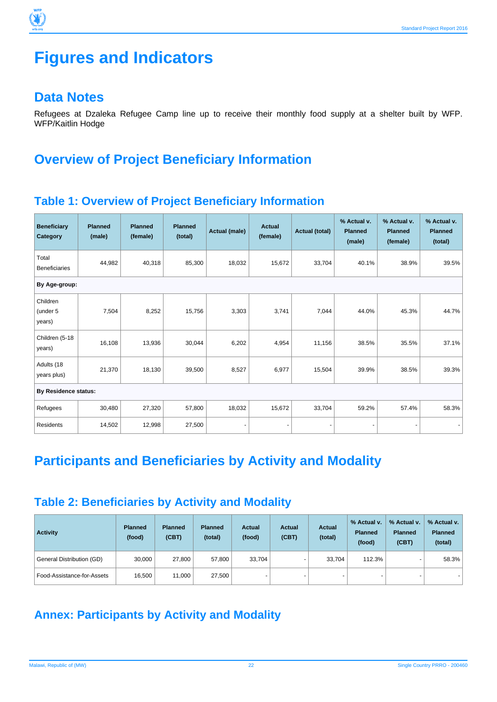

### **Data Notes**

પ∕

Refugees at Dzaleka Refugee Camp line up to receive their monthly food supply at a shelter built by WFP. WFP/Kaitlin Hodge

# **Overview of Project Beneficiary Information**

### **Table 1: Overview of Project Beneficiary Information**

| <b>Beneficiary</b><br>Category | <b>Planned</b><br>(male) | <b>Planned</b><br>(female) | <b>Planned</b><br>(total) | Actual (male) | Actual<br>(female) | <b>Actual (total)</b> | % Actual v.<br><b>Planned</b><br>(male) | % Actual v.<br><b>Planned</b><br>(female) | % Actual v.<br><b>Planned</b><br>(total) |
|--------------------------------|--------------------------|----------------------------|---------------------------|---------------|--------------------|-----------------------|-----------------------------------------|-------------------------------------------|------------------------------------------|
| Total<br><b>Beneficiaries</b>  | 44,982                   | 40,318                     | 85,300                    | 18,032        | 15,672             | 33,704                | 40.1%                                   | 38.9%                                     | 39.5%                                    |
| By Age-group:                  |                          |                            |                           |               |                    |                       |                                         |                                           |                                          |
| Children<br>(under 5<br>years) | 7,504                    | 8,252                      | 15,756                    | 3,303         | 3,741              | 7,044                 | 44.0%                                   | 45.3%                                     | 44.7%                                    |
| Children (5-18<br>years)       | 16,108                   | 13,936                     | 30,044                    | 6,202         | 4,954              | 11,156                | 38.5%                                   | 35.5%                                     | 37.1%                                    |
| Adults (18<br>years plus)      | 21,370                   | 18,130                     | 39,500                    | 8,527         | 6,977              | 15,504                | 39.9%                                   | 38.5%                                     | 39.3%                                    |
| <b>By Residence status:</b>    |                          |                            |                           |               |                    |                       |                                         |                                           |                                          |
| Refugees                       | 30,480                   | 27,320                     | 57,800                    | 18,032        | 15,672             | 33,704                | 59.2%                                   | 57.4%                                     | 58.3%                                    |
| <b>Residents</b>               | 14,502                   | 12,998                     | 27,500                    |               |                    |                       |                                         |                                           |                                          |

# **Participants and Beneficiaries by Activity and Modality**

### **Table 2: Beneficiaries by Activity and Modality**

| <b>Activity</b>            | <b>Planned</b><br>(food) | <b>Planned</b><br>(CBT) | <b>Planned</b><br>(total) | <b>Actual</b><br>(food)  | <b>Actual</b><br>(CBT) | <b>Actual</b><br>(total) | % Actual v.<br><b>Planned</b><br>(food) | % Actual v.<br><b>Planned</b><br>(CBT) | % Actual v.<br><b>Planned</b><br>(total) |
|----------------------------|--------------------------|-------------------------|---------------------------|--------------------------|------------------------|--------------------------|-----------------------------------------|----------------------------------------|------------------------------------------|
| General Distribution (GD)  | 30,000                   | 27,800                  | 57,800                    | 33,704                   |                        | 33.704                   | 112.3%                                  |                                        | 58.3%                                    |
| Food-Assistance-for-Assets | 16,500                   | 11,000                  | 27,500                    | $\overline{\phantom{0}}$ | -                      | $\sim$                   | $\overline{\phantom{a}}$                |                                        |                                          |

# **Annex: Participants by Activity and Modality**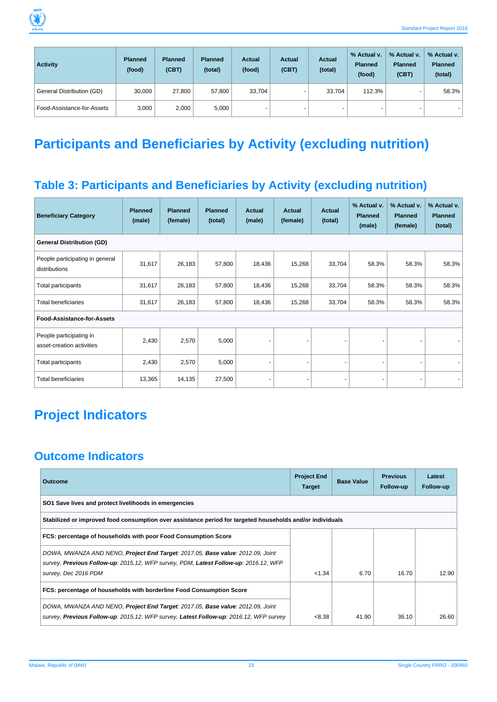

| <b>Activity</b>            | <b>Planned</b><br>(food) | <b>Planned</b><br>(CBT) | <b>Planned</b><br>(total) | <b>Actual</b><br>(food)  | <b>Actual</b><br>(CBT) | <b>Actual</b><br>(total) | % Actual v.<br><b>Planned</b><br>(food) | % Actual v.<br><b>Planned</b><br>(CBT) | % Actual v.<br><b>Planned</b><br>(total) |
|----------------------------|--------------------------|-------------------------|---------------------------|--------------------------|------------------------|--------------------------|-----------------------------------------|----------------------------------------|------------------------------------------|
| General Distribution (GD)  | 30,000                   | 27,800                  | 57,800                    | 33,704                   |                        | 33.704                   | 112.3%                                  | $\overline{\phantom{0}}$               | 58.3%                                    |
| Food-Assistance-for-Assets | 3,000                    | 2,000                   | 5,000                     | $\overline{\phantom{0}}$ |                        |                          |                                         |                                        |                                          |

# **Participants and Beneficiaries by Activity (excluding nutrition)**

# **Table 3: Participants and Beneficiaries by Activity (excluding nutrition)**

| <b>Beneficiary Category</b>                          | <b>Planned</b><br>(male) | <b>Planned</b><br>(female) | <b>Planned</b><br>(total) | <b>Actual</b><br>(male) | <b>Actual</b><br>(female) | <b>Actual</b><br>(total) | % Actual v.<br><b>Planned</b><br>(male) | % Actual v.<br><b>Planned</b><br>(female) | % Actual v.<br><b>Planned</b><br>(total) |  |  |  |
|------------------------------------------------------|--------------------------|----------------------------|---------------------------|-------------------------|---------------------------|--------------------------|-----------------------------------------|-------------------------------------------|------------------------------------------|--|--|--|
| <b>General Distribution (GD)</b>                     |                          |                            |                           |                         |                           |                          |                                         |                                           |                                          |  |  |  |
| People participating in general<br>distributions     | 31,617                   | 26,183                     | 57,800                    | 18,436                  | 15,268                    | 33,704                   | 58.3%                                   | 58.3%                                     | 58.3%                                    |  |  |  |
| Total participants                                   | 31,617                   | 26,183                     | 57,800                    | 18,436                  | 15,268                    | 33,704                   | 58.3%                                   | 58.3%                                     | 58.3%                                    |  |  |  |
| <b>Total beneficiaries</b>                           | 31,617                   | 26,183                     | 57,800                    | 18,436                  | 15,268                    | 33,704                   | 58.3%                                   | 58.3%                                     | 58.3%                                    |  |  |  |
| Food-Assistance-for-Assets                           |                          |                            |                           |                         |                           |                          |                                         |                                           |                                          |  |  |  |
| People participating in<br>asset-creation activities | 2,430                    | 2,570                      | 5,000                     |                         |                           |                          |                                         |                                           |                                          |  |  |  |
| Total participants                                   | 2,430                    | 2,570                      | 5,000                     |                         |                           |                          |                                         |                                           |                                          |  |  |  |
| <b>Total beneficiaries</b>                           | 13,365                   | 14,135                     | 27,500                    |                         |                           |                          |                                         |                                           |                                          |  |  |  |

# **Project Indicators**

# **Outcome Indicators**

| <b>Outcome</b>                                                                                               | <b>Project End</b><br><b>Target</b> | <b>Base Value</b> | <b>Previous</b><br>Follow-up | Latest<br>Follow-up |
|--------------------------------------------------------------------------------------------------------------|-------------------------------------|-------------------|------------------------------|---------------------|
| SO1 Save lives and protect livelihoods in emergencies                                                        |                                     |                   |                              |                     |
| Stabilized or improved food consumption over assistance period for targeted households and/or individuals    |                                     |                   |                              |                     |
| FCS: percentage of households with poor Food Consumption Score                                               |                                     |                   |                              |                     |
| DOWA, MWANZA AND NENO, <b>Project End Target</b> : 2017.05, <b>Base value</b> : 2012.09, Joint               |                                     |                   |                              |                     |
| survey, Previous Follow-up: 2015.12, WFP survey, PDM, Latest Follow-up: 2016.12, WFP<br>survey, Dec 2016 PDM | < 1.34                              | 6.70              | 16.70                        | 12.90               |
| FCS: percentage of households with borderline Food Consumption Score                                         |                                     |                   |                              |                     |
| DOWA, MWANZA AND NENO, <b>Project End Target</b> : 2017.05, <b>Base value</b> : 2012.09, Joint               |                                     |                   |                              |                     |
| survey, Previous Follow-up: 2015.12, WFP survey, Latest Follow-up: 2016.12, WFP survey                       | < 8.38                              | 41.90             | 36.10                        | 26.60               |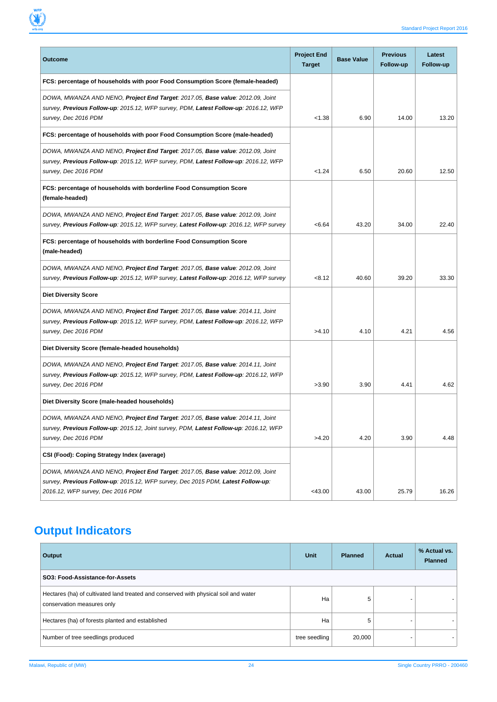

| <b>Outcome</b>                                                                                                                                                                                          | <b>Project End</b><br><b>Target</b> | <b>Base Value</b> | <b>Previous</b><br>Follow-up | Latest<br>Follow-up |
|---------------------------------------------------------------------------------------------------------------------------------------------------------------------------------------------------------|-------------------------------------|-------------------|------------------------------|---------------------|
| FCS: percentage of households with poor Food Consumption Score (female-headed)                                                                                                                          |                                     |                   |                              |                     |
| DOWA, MWANZA AND NENO, Project End Target: 2017.05, Base value: 2012.09, Joint<br>survey, Previous Follow-up: 2015.12, WFP survey, PDM, Latest Follow-up: 2016.12, WFP<br>survey, Dec 2016 PDM          | < 1.38                              | 6.90              | 14.00                        | 13.20               |
| FCS: percentage of households with poor Food Consumption Score (male-headed)                                                                                                                            |                                     |                   |                              |                     |
| DOWA, MWANZA AND NENO, Project End Target: 2017.05, Base value: 2012.09, Joint<br>survey, Previous Follow-up: 2015.12, WFP survey, PDM, Latest Follow-up: 2016.12, WFP<br>survey, Dec 2016 PDM          | < 1.24                              | 6.50              | 20.60                        | 12.50               |
| FCS: percentage of households with borderline Food Consumption Score<br>(female-headed)                                                                                                                 |                                     |                   |                              |                     |
| DOWA, MWANZA AND NENO, Project End Target: 2017.05, Base value: 2012.09, Joint<br>survey, Previous Follow-up: 2015.12, WFP survey, Latest Follow-up: 2016.12, WFP survey                                | < 6.64                              | 43.20             | 34.00                        | 22.40               |
| FCS: percentage of households with borderline Food Consumption Score<br>(male-headed)                                                                                                                   |                                     |                   |                              |                     |
| DOWA, MWANZA AND NENO, Project End Target: 2017.05, Base value: 2012.09, Joint<br>survey, Previous Follow-up: 2015.12, WFP survey, Latest Follow-up: 2016.12, WFP survey                                | < 8.12                              | 40.60             | 39.20                        | 33.30               |
| <b>Diet Diversity Score</b>                                                                                                                                                                             |                                     |                   |                              |                     |
| DOWA, MWANZA AND NENO, Project End Target: 2017.05, Base value: 2014.11, Joint<br>survey, Previous Follow-up: 2015.12, WFP survey, PDM, Latest Follow-up: 2016.12, WFP<br>survey, Dec 2016 PDM          | >4.10                               | 4.10              | 4.21                         | 4.56                |
| Diet Diversity Score (female-headed households)                                                                                                                                                         |                                     |                   |                              |                     |
| DOWA, MWANZA AND NENO, Project End Target: 2017.05, Base value: 2014.11, Joint<br>survey, Previous Follow-up: 2015.12, WFP survey, PDM, Latest Follow-up: 2016.12, WFP<br>survey, Dec 2016 PDM          | >3.90                               | 3.90              | 4.41                         | 4.62                |
| Diet Diversity Score (male-headed households)                                                                                                                                                           |                                     |                   |                              |                     |
| DOWA, MWANZA AND NENO, Project End Target: 2017.05, Base value: 2014.11, Joint<br>survey, Previous Follow-up: 2015.12, Joint survey, PDM, Latest Follow-up: 2016.12, WFP<br>survey, Dec 2016 PDM        | >4.20                               | 4.20              | 3.90                         | 4.48                |
| CSI (Food): Coping Strategy Index (average)                                                                                                                                                             |                                     |                   |                              |                     |
| DOWA, MWANZA AND NENO, Project End Target: 2017.05, Base value: 2012.09, Joint<br>survey, Previous Follow-up: 2015.12, WFP survey, Dec 2015 PDM, Latest Follow-up:<br>2016.12, WFP survey, Dec 2016 PDM | <43.00                              | 43.00             | 25.79                        | 16.26               |

# **Output Indicators**

| Output                                                                                                            | Unit          | <b>Planned</b> | <b>Actual</b> | % Actual vs.<br><b>Planned</b> |
|-------------------------------------------------------------------------------------------------------------------|---------------|----------------|---------------|--------------------------------|
| SO3: Food-Assistance-for-Assets                                                                                   |               |                |               |                                |
| Hectares (ha) of cultivated land treated and conserved with physical soil and water<br>conservation measures only | Ha            | 5              |               |                                |
| Hectares (ha) of forests planted and established                                                                  | Ha            | 5              |               |                                |
| Number of tree seedlings produced                                                                                 | tree seedling | 20,000         |               |                                |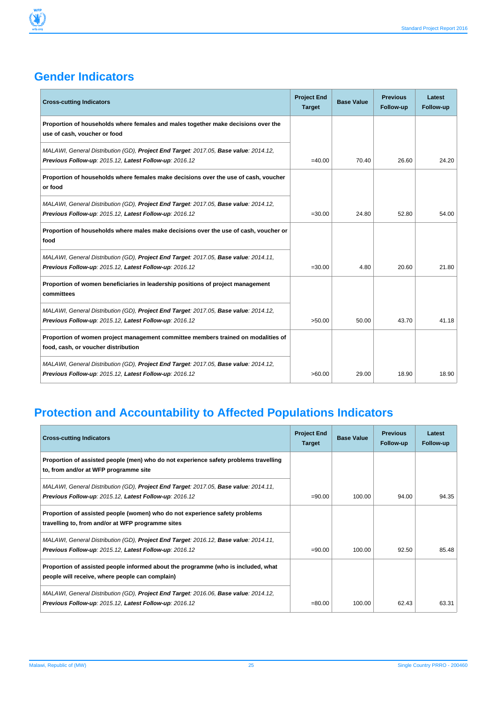### **Gender Indicators**

Y

| <b>Cross-cutting Indicators</b>                                                                                                                | <b>Project End</b><br><b>Target</b> | <b>Base Value</b> | <b>Previous</b><br>Follow-up | Latest<br>Follow-up |
|------------------------------------------------------------------------------------------------------------------------------------------------|-------------------------------------|-------------------|------------------------------|---------------------|
| Proportion of households where females and males together make decisions over the<br>use of cash, voucher or food                              |                                     |                   |                              |                     |
| MALAWI, General Distribution (GD), Project End Target: 2017.05, Base value: 2014.12,<br>Previous Follow-up: 2015.12, Latest Follow-up: 2016.12 | $=40.00$                            | 70.40             | 26.60                        | 24.20               |
| Proportion of households where females make decisions over the use of cash, voucher<br>or food                                                 |                                     |                   |                              |                     |
| MALAWI, General Distribution (GD), Project End Target: 2017.05, Base value: 2014.12,<br>Previous Follow-up: 2015.12, Latest Follow-up: 2016.12 | $= 30.00$                           | 24.80             | 52.80                        | 54.00               |
| Proportion of households where males make decisions over the use of cash, voucher or<br>food                                                   |                                     |                   |                              |                     |
| MALAWI, General Distribution (GD), Project End Target: 2017.05, Base value: 2014.11,<br>Previous Follow-up: 2015.12, Latest Follow-up: 2016.12 | $= 30.00$                           | 4.80              | 20.60                        | 21.80               |
| Proportion of women beneficiaries in leadership positions of project management<br>committees                                                  |                                     |                   |                              |                     |
| MALAWI, General Distribution (GD), Project End Target: 2017.05, Base value: 2014.12,<br>Previous Follow-up: 2015.12, Latest Follow-up: 2016.12 | >50.00                              | 50.00             | 43.70                        | 41.18               |
| Proportion of women project management committee members trained on modalities of<br>food, cash, or voucher distribution                       |                                     |                   |                              |                     |
| MALAWI, General Distribution (GD), Project End Target: 2017.05, Base value: 2014.12,<br>Previous Follow-up: 2015.12, Latest Follow-up: 2016.12 | >60.00                              | 29.00             | 18.90                        | 18.90               |

# **Protection and Accountability to Affected Populations Indicators**

| <b>Cross-cutting Indicators</b>                                                                                                                |           | <b>Base Value</b> | <b>Previous</b><br>Follow-up | Latest<br>Follow-up |
|------------------------------------------------------------------------------------------------------------------------------------------------|-----------|-------------------|------------------------------|---------------------|
| Proportion of assisted people (men) who do not experience safety problems travelling<br>to, from and/or at WFP programme site                  |           |                   |                              |                     |
| MALAWI, General Distribution (GD), Project End Target: 2017.05, Base value: 2014.11,<br>Previous Follow-up: 2015.12, Latest Follow-up: 2016.12 | $= 90.00$ | 100.00            | 94.00                        | 94.35               |
| Proportion of assisted people (women) who do not experience safety problems<br>travelling to, from and/or at WFP programme sites               |           |                   |                              |                     |
| MALAWI, General Distribution (GD), Project End Target: 2016.12, Base value: 2014.11,<br>Previous Follow-up: 2015.12, Latest Follow-up: 2016.12 | $= 90.00$ | 100.00            | 92.50                        | 85.48               |
| Proportion of assisted people informed about the programme (who is included, what<br>people will receive, where people can complain)           |           |                   |                              |                     |
| MALAWI, General Distribution (GD), Project End Target: 2016.06, Base value: 2014.12,<br>Previous Follow-up: 2015.12, Latest Follow-up: 2016.12 | $= 80.00$ | 100.00            | 62.43                        | 63.31               |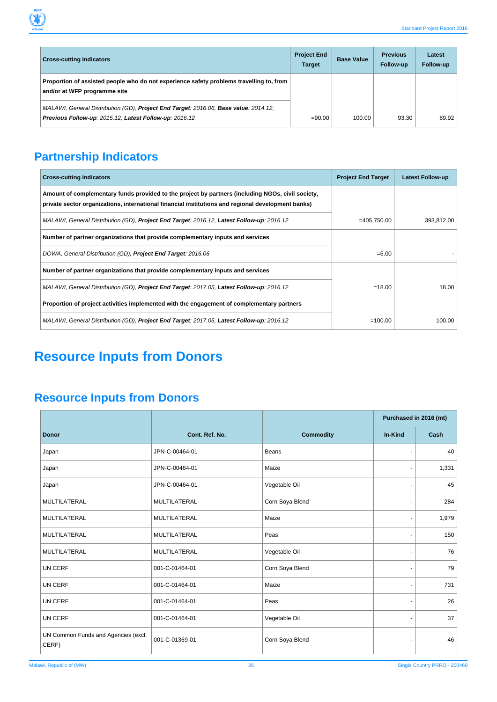

| <b>Cross-cutting Indicators</b>                                                                                                                | <b>Project End</b><br><b>Target</b> | <b>Base Value</b> | <b>Previous</b><br>Follow-up | Latest<br>Follow-up |
|------------------------------------------------------------------------------------------------------------------------------------------------|-------------------------------------|-------------------|------------------------------|---------------------|
| Proportion of assisted people who do not experience safety problems travelling to, from<br>and/or at WFP programme site                        |                                     |                   |                              |                     |
| MALAWI, General Distribution (GD), Project End Target: 2016.06, Base value: 2014.12,<br>Previous Follow-up: 2015.12, Latest Follow-up: 2016.12 | $= 90.00$                           | 100.00            | 93.30                        | 89.92               |

# **Partnership Indicators**

| <b>Cross-cutting Indicators</b>                                                                                                                                                                         | <b>Project End Target</b> | <b>Latest Follow-up</b> |
|---------------------------------------------------------------------------------------------------------------------------------------------------------------------------------------------------------|---------------------------|-------------------------|
| Amount of complementary funds provided to the project by partners (including NGOs, civil society,<br>private sector organizations, international financial institutions and regional development banks) |                           |                         |
| MALAWI, General Distribution (GD), Project End Target: 2016.12, Latest Follow-up: 2016.12                                                                                                               | $=405,750.00$             | 393,812.00              |
| Number of partner organizations that provide complementary inputs and services                                                                                                                          |                           |                         |
| DOWA, General Distribution (GD), Project End Target: 2016.06                                                                                                                                            | $= 6.00$                  |                         |
| Number of partner organizations that provide complementary inputs and services                                                                                                                          |                           |                         |
| MALAWI, General Distribution (GD), Project End Target: 2017.05, Latest Follow-up: 2016.12                                                                                                               | $=18.00$                  | 18.00                   |
| Proportion of project activities implemented with the engagement of complementary partners                                                                                                              |                           |                         |
| MALAWI, General Distribution (GD), Project End Target: 2017.05, Latest Follow-up: 2016.12                                                                                                               | $=100.00$                 | 100.00                  |

# **Resource Inputs from Donors**

# **Resource Inputs from Donors**

|                                              |                     |                  | Purchased in 2016 (mt)   |       |
|----------------------------------------------|---------------------|------------------|--------------------------|-------|
| <b>Donor</b>                                 | Cont. Ref. No.      | <b>Commodity</b> | In-Kind                  | Cash  |
| Japan                                        | JPN-C-00464-01      | Beans            | ٠                        | 40    |
| Japan                                        | JPN-C-00464-01      | Maize            |                          | 1,331 |
| Japan                                        | JPN-C-00464-01      | Vegetable Oil    | ٠                        | 45    |
| MULTILATERAL                                 | MULTILATERAL        | Corn Soya Blend  |                          | 284   |
| <b>MULTILATERAL</b>                          | <b>MULTILATERAL</b> | Maize            | $\overline{a}$           | 1,979 |
| <b>MULTILATERAL</b>                          | MULTILATERAL        | Peas             | $\overline{\phantom{a}}$ | 150   |
| <b>MULTILATERAL</b>                          | <b>MULTILATERAL</b> | Vegetable Oil    |                          | 76    |
| UN CERF                                      | 001-C-01464-01      | Corn Soya Blend  | $\blacksquare$           | 79    |
| UN CERF                                      | 001-C-01464-01      | Maize            | $\frac{1}{2}$            | 731   |
| UN CERF                                      | 001-C-01464-01      | Peas             |                          | 26    |
| UN CERF                                      | 001-C-01464-01      | Vegetable Oil    |                          | 37    |
| UN Common Funds and Agencies (excl.<br>CERF) | 001-C-01369-01      | Corn Soya Blend  |                          | 46    |